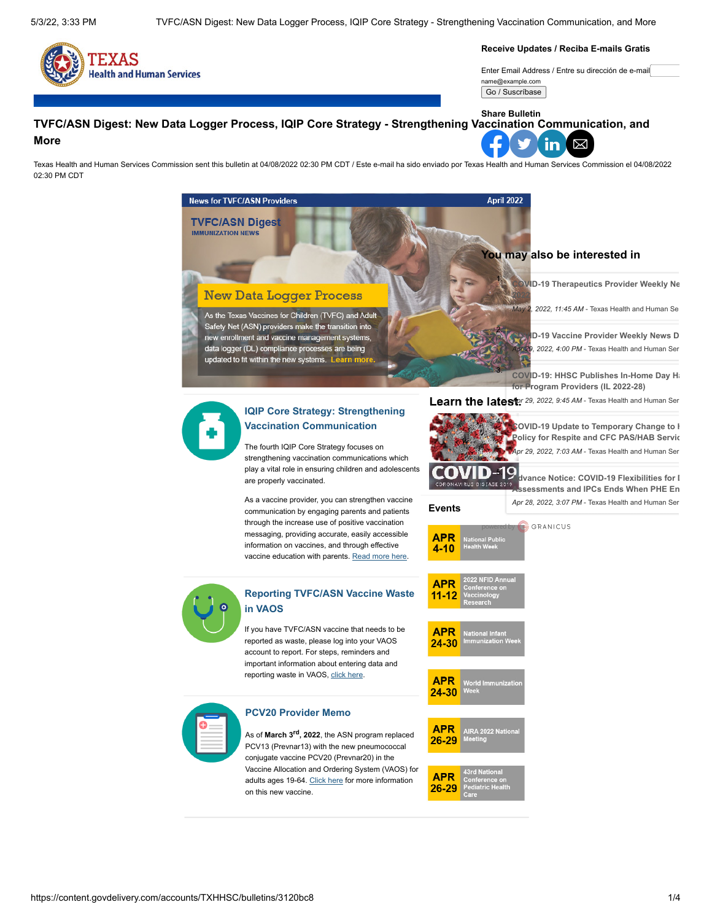

**Receive Updates / Reciba E-mails Gratis**

Enter Email Address / Entre su dirección de e-mail name@example.com

Go / Suscríbase

#### **TVFC/ASN Digest: New Data Logger Process, IQIP Core Strategy - Strengthening Vaccination Communication, and More Share Bulletin**

⊠ in

Texas Health and Human Services Commission sent this bulletin at 04/08/2022 02:30 PM CDT / Este e-mail ha sido enviado por Texas Health and Human Services Commission el 04/08/2022 02:30 PM CDT

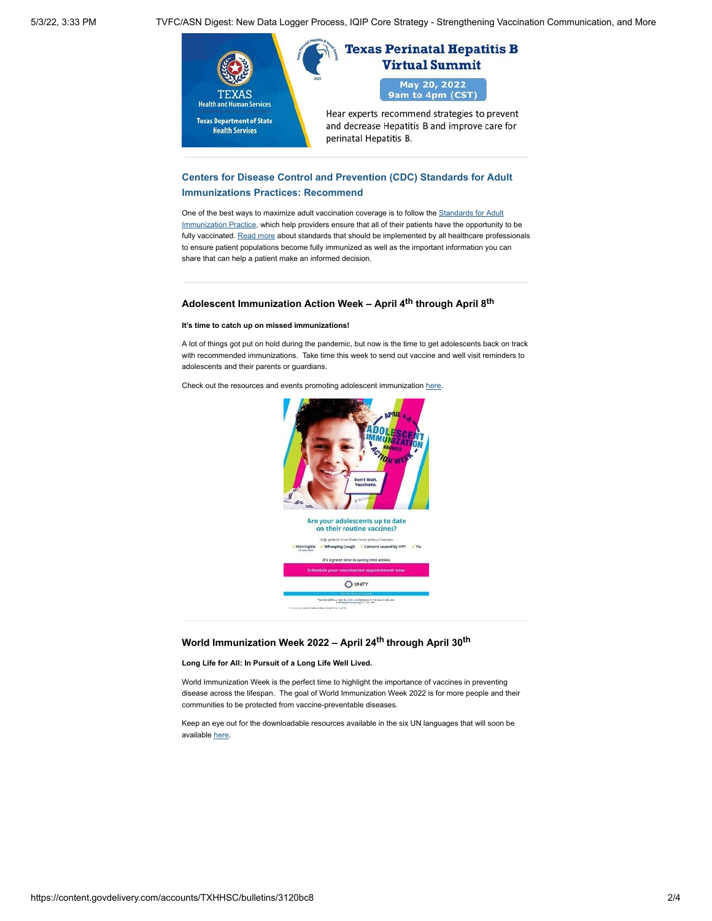5/3/22, 3:33 PM TVFC/ASN Digest: New Data Logger Process, IQIP Core Strategy - Strengthening Vaccination Communication, and More



### **[Centers for Disease Control and Prevention \(CDC\) Standards for Adult](http://www.dshs.texas.gov/immunize/Immunization-News/TVFC-ASN-Digest/Centers-for-Disease-Control-and-Prevention-(CDC)-Standards-for-Adult-Immunizations-Practices--Recommend/) Immunizations Practices: Recommend**

One of the best ways to maximize adult vaccination coverage is to follow the Standards for Adult [Immunization Practice, which help providers ensure that all of their patients have the opportunity](https://www.cdc.gov/vaccines/hcp/adults/for-practice/standards/index.html) to be fully vaccinated. [Read more](http://www.dshs.texas.gov/immunize/Immunization-News/TVFC-ASN-Digest/Centers-for-Disease-Control-and-Prevention-(CDC)-Standards-for-Adult-Immunizations-Practices--Recommend/) about standards that should be implemented by all healthcare professionals to ensure patient populations become fully immunized as well as the important information you can share that can help a patient make an informed decision.

## **Adolescent Immunization Action Week – April 4th through April 8th**

#### **It's time to catch up on missed immunizations!**

A lot of things got put on hold during the pandemic, but now is the time to get adolescents back on track with recommended immunizations. Take time this week to send out vaccine and well visit reminders to adolescents and their parents or guardians.

Check out the resources and events promoting adolescent immunization [here.](https://www.unity4teenvax.org/aiaw22/)



### **World Immunization Week 2022 – April 24th through April 30th**

#### **Long Life for All: In Pursuit of a Long Life Well Lived.**

World Immunization Week is the perfect time to highlight the importance of vaccines in preventing disease across the lifespan. The goal of World Immunization Week 2022 is for more people and their communities to be protected from vaccine-preventable diseases.

Keep an eye out for the downloadable resources available in the six UN languages that will soon be available [here.](https://www.who.int/campaigns/world-immunization-week/world-immunization-week-2022)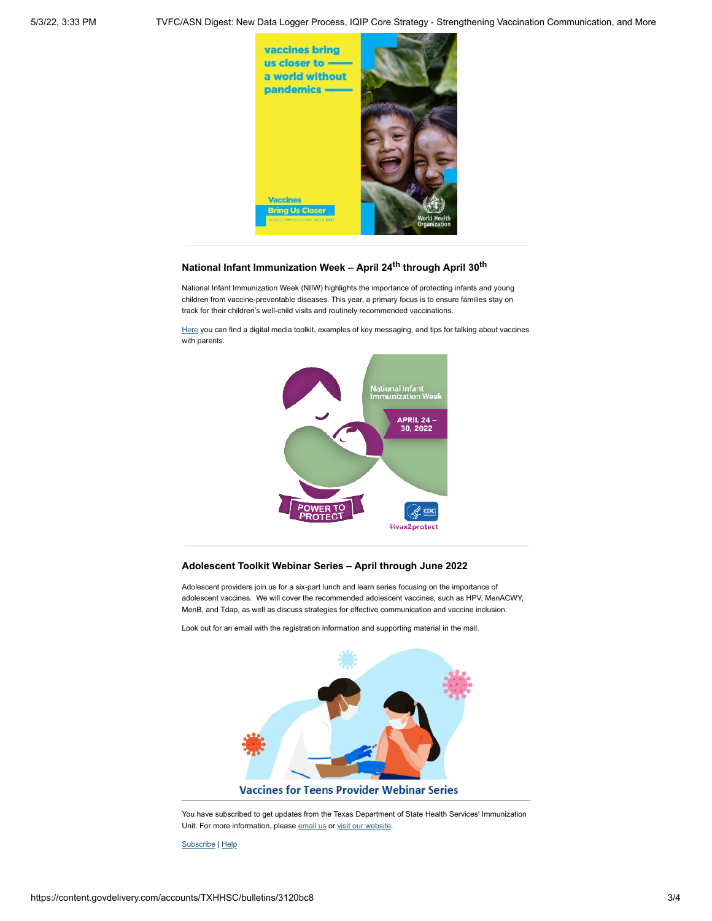

# **National Infant Immunization Week – April 24th through April 30th**

National Infant Immunization Week (NIIW) highlights the importance of protecting infants and young children from vaccine-preventable diseases. This year, a primary focus is to ensure families stay on track for their children's well-child visits and routinely recommended vaccinations.

[Here](https://www.cdc.gov/vaccines/events/niiw/index.html) you can find a digital media toolkit, examples of key messaging, and tips for talking about vaccines with parents.



#### **Adolescent Toolkit Webinar Series – April through June 2022**

Adolescent providers join us for a six-part lunch and learn series focusing on the importance of adolescent vaccines. We will cover the recommended adolescent vaccines, such as HPV, MenACWY, MenB, and Tdap, as well as discuss strategies for effective communication and vaccine inclusion.

Look out for an email with the registration information and supporting material in the mail.



You have subscribed to get updates from the Texas Department of State Health Services' Immunization Unit. For more information, please [email us](mailto:Immunization.Info@dshs.texas.gov) or [visit our website](https://www.dshs.texas.gov/immunize/).

[Subscribe](https://www.surveygizmo.com/s3/5834089/TVFC-ASN-Digest-Subscription) | [Help](http://links.govdelivery.com/track?type=click&enid=ZWFzPTEmbWFpbGluZ2lkPTIwMTgxMTEyLjk3NDk3MDgxJm1lc3NhZ2VpZD1NREItUFJELUJVTC0yMDE4MTExMi45NzQ5NzA4MSZkYXRhYmFzZWlkPTEwMDEmc2VyaWFsPTE3NDAxNjg2JmVtYWlsaWQ9c2ViYXN0aWFuLm1hbGRvbmFkb0Bkc2hzLnRleGFzLmdvdiZ1c2VyaWQ9c2ViYXN0aWFuLm1hbGRvbmFkb0Bkc2hzLnRleGFzLmdvdiZmbD0mZXh0cmE9TXVsdGl2YXJpYXRlSWQ9JiYm&&&117&&&https://insights.govdelivery.com/Communications/Subscriber_Help_Center)